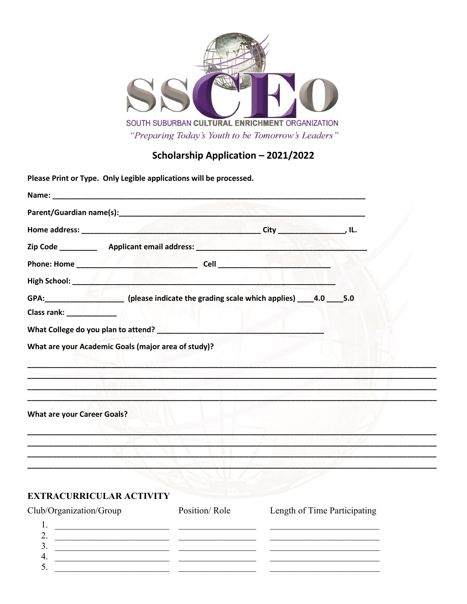

# Scholarship Application - 2021/2022

Please Print or Type. Only Legible applications will be processed.

|                                    | GPA: _______________________(please indicate the grading scale which applies) _____4.0 _____5.0                  |  |
|------------------------------------|------------------------------------------------------------------------------------------------------------------|--|
| Class rank: ______________         |                                                                                                                  |  |
|                                    |                                                                                                                  |  |
|                                    | What are your Academic Goals (major area of study)?                                                              |  |
|                                    |                                                                                                                  |  |
|                                    |                                                                                                                  |  |
|                                    | and the company of the second company of the company of the company of the company of the company of the company |  |
| <b>What are your Career Goals?</b> |                                                                                                                  |  |
|                                    |                                                                                                                  |  |
|                                    |                                                                                                                  |  |
|                                    |                                                                                                                  |  |

#### **EXTRACURRICULAR ACTIVITY**

| Club/Organization/Group | Position/Role | Length of Time Participating |  |
|-------------------------|---------------|------------------------------|--|
|                         |               |                              |  |
| <u>.</u>                |               |                              |  |
| ◡                       |               |                              |  |
|                         |               |                              |  |
|                         |               |                              |  |
|                         |               |                              |  |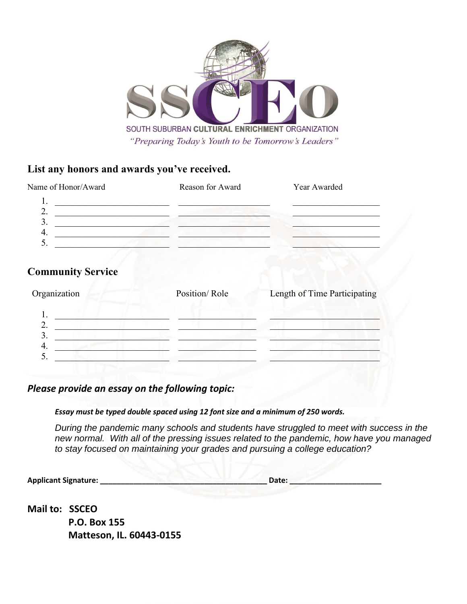

### **List any honors and awards you've received.**

| Name of Honor/Award | Reason for Award | Year Awarded |
|---------------------|------------------|--------------|
|                     |                  |              |
| ـ.                  |                  |              |
| ر                   |                  |              |
| т.                  |                  |              |
|                     |                  |              |

## **Community Service**

| Organization | Position/Role | Length of Time Participating |
|--------------|---------------|------------------------------|
|              |               |                              |
|              |               |                              |
| ᠇.           |               |                              |
|              |               |                              |

*Please provide an essay on the following topic:*

*Essay must be typed double spaced using 12 font size and a minimum of 250 words.*

*During the pandemic many schools and students have struggled to meet with success in the new normal. With all of the pressing issues related to the pandemic, how have you managed to stay focused on maintaining your grades and pursuing a college education?* 

**Applicant Signature: Date: Date: Date:** *Date:* 

**Mail to: SSCEO P.O. Box 155 Matteson, IL. 60443-0155**